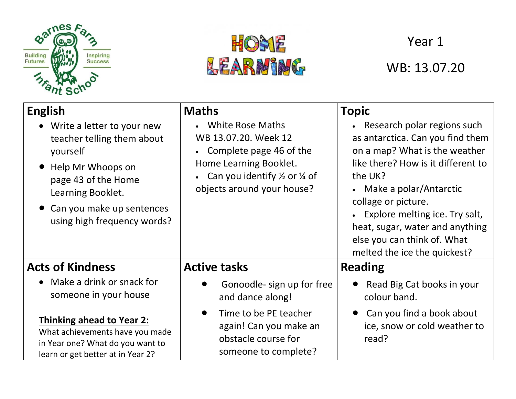



# Year 1

WB: 13.07.20

| <b>English</b><br>• Write a letter to your new<br>teacher telling them about<br>yourself<br>• Help Mr Whoops on<br>page 43 of the Home<br>Learning Booklet.<br>• Can you make up sentences<br>using high frequency words? | <b>Maths</b><br>• White Rose Maths<br>WB 13.07.20. Week 12<br>• Complete page 46 of the<br>Home Learning Booklet.<br>• Can you identify $\frac{1}{2}$ or $\frac{1}{4}$ of<br>objects around your house? | <b>Topic</b><br>• Research polar regions such<br>as antarctica. Can you find them<br>on a map? What is the weather<br>like there? How is it different to<br>the UK?<br>• Make a polar/Antarctic<br>collage or picture.<br>• Explore melting ice. Try salt,<br>heat, sugar, water and anything<br>else you can think of. What<br>melted the ice the quickest? |
|---------------------------------------------------------------------------------------------------------------------------------------------------------------------------------------------------------------------------|---------------------------------------------------------------------------------------------------------------------------------------------------------------------------------------------------------|--------------------------------------------------------------------------------------------------------------------------------------------------------------------------------------------------------------------------------------------------------------------------------------------------------------------------------------------------------------|
| <b>Acts of Kindness</b>                                                                                                                                                                                                   | <b>Active tasks</b>                                                                                                                                                                                     | <b>Reading</b>                                                                                                                                                                                                                                                                                                                                               |
| • Make a drink or snack for<br>someone in your house                                                                                                                                                                      | Gonoodle- sign up for free<br>and dance along!                                                                                                                                                          | Read Big Cat books in your<br>colour band.                                                                                                                                                                                                                                                                                                                   |
| <b>Thinking ahead to Year 2:</b><br>What achievements have you made<br>in Year one? What do you want to<br>learn or get better at in Year 2?                                                                              | Time to be PE teacher<br>again! Can you make an<br>obstacle course for<br>someone to complete?                                                                                                          | Can you find a book about<br>ice, snow or cold weather to<br>read?                                                                                                                                                                                                                                                                                           |